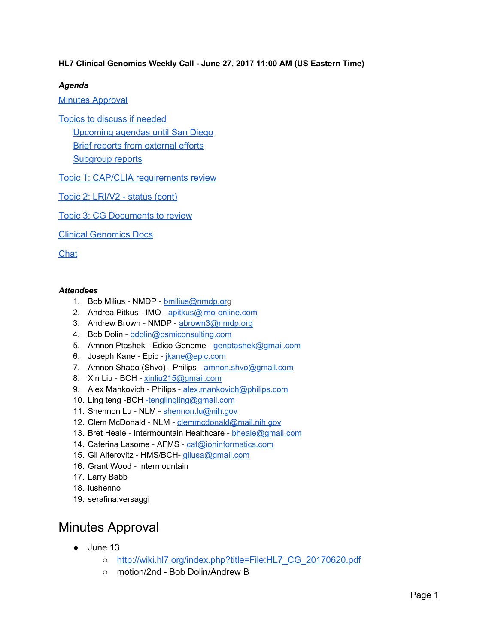#### **HL7 Clinical Genomics Weekly Call - June 27, 2017 11:00 AM (US Eastern Time)**

#### *Agenda*

### Minutes [Approval](#page-0-0)

Topics to discuss if [needed](#page-1-2) [Upcoming](#page-1-3) agendas until San Diego Brief reports from [external](#page-1-0) efforts

[Subgroup](#page-1-1) reports

Topic 1: CAP/CLIA [requirements](#page-2-1) review

Topic 2: [LRI/V2](#page-2-2) - status (cont)

Topic 3: CG [Documents](#page-2-0) to review

Clinical [Genomics](#page-3-0) Docs

**[Chat](#page-3-1)** 

#### *Attendees*

- 1. Bob Milius NMDP [bmilius@nmdp.org](mailto:bmilius@nmdp.org)
- 2. Andrea Pitkus IMO [apitkus@imo-online.com](mailto:apitkus@imo-online.com)
- 3. Andrew Brown NMDP [abrown3@nmdp.org](mailto:abrown3@nmdp.org)
- 4. Bob Dolin [bdolin@psmiconsulting.com](mailto:bdolin@psmiconsulting.com)
- 5. Amnon Ptashek Edico Genome [genptashek@gmail.com](mailto:genptashek@gmail.com)
- 6. Joseph Kane Epic *[jkane@epic.com](mailto:jkane@epic.com)*
- 7. Amnon Shabo (Shvo) Philips [amnon.shvo@gmail.com](mailto:amnon.shvo@gmail.com)
- 8. Xin Liu BCH [xinliu215@gmail.com](mailto:xinliu215@gmail.com)
- 9. Alex Mankovich Philips [alex.mankovich@philips.com](mailto:alex.mankovich@philips.com)
- 10. Ling teng -BCH [-tenglingling@gmail.com](mailto:-tenglingling@gmail.com)
- 11. Shennon Lu NLM [shennon.lu@nih.gov](mailto:shennon.lu@nih.gov)
- 12. Clem McDonald NLM [clemmcdonald@mail.nih.gov](mailto:clemmcdonald@mail.nih.gov)
- 13. Bret Heale Intermountain Healthcare [bheale@gmail.com](mailto:bheale@gmail.com)
- 14. Caterina Lasome AFMS [cat@ioninformatics.com](mailto:cat@ioninformatics.com)
- 15. Gil Alterovitz HMS/BCH- [gilusa@gmail.com](mailto:gilusa@gmail.com)
- 16. Grant Wood Intermountain
- 17. Larry Babb
- 18. lushenno
- 19. serafina.versaggi

# <span id="page-0-0"></span>Minutes Approval

- $\bullet$  June 13
	- [http://wiki.hl7.org/index.php?title=File:HL7\\_CG\\_20170620.pdf](http://wiki.hl7.org/index.php?title=File:HL7_CG_20170620.pdf)
	- motion/2nd Bob Dolin/Andrew B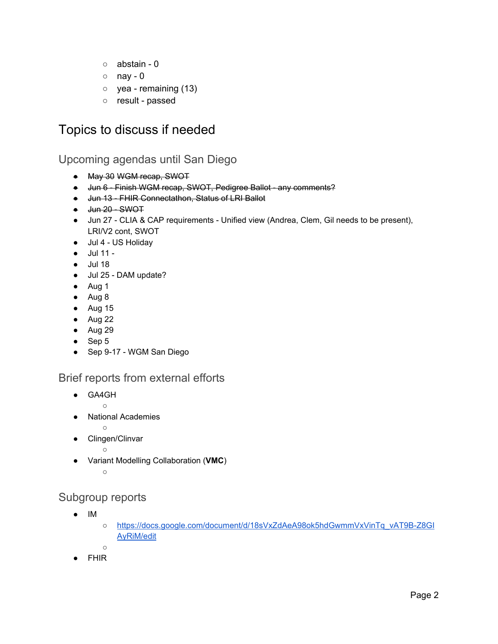- abstain 0
- $\circ$  nay 0
- $\circ$  yea remaining (13)
- result passed

## <span id="page-1-2"></span>Topics to discuss if needed

## <span id="page-1-3"></span>Upcoming agendas until San Diego

- May 30 WGM recap, SWOT
- Jun 6 Finish WGM recap, SWOT, Pedigree Ballot any comments?
- Jun 13 FHIR Connectathon, Status of LRI Ballot
- <del>Jun 20 SWOT</del>
- Jun 27 CLIA & CAP requirements Unified view (Andrea, Clem, Gil needs to be present), LRI/V2 cont, SWOT
- Jul 4 US Holiday
- Jul 11 -
- Jul 18
- Jul 25 DAM update?
- Aug 1
- Aug 8
- Aug 15
- $\bullet$  Aug 22
- Aug 29
- Sep 5
- Sep 9-17 WGM San Diego

### <span id="page-1-0"></span>Brief reports from external efforts

- GA4GH
	-

 $\circ$ 

- **National Academies**
- $\circ$
- Clingen/Clinvar
	- $\circ$
- Variant Modelling Collaboration (**VMC**)

```
\circ
```
## <span id="page-1-1"></span>Subgroup reports

- IM
- [https://docs.google.com/document/d/18sVxZdAeA98ok5hdGwmmVxVinTq\\_vAT9B-Z8GI](https://docs.google.com/document/d/18sVxZdAeA98ok5hdGwmmVxVinTq_vAT9B-Z8GIAyRiM/edit) [AyRiM/edit](https://docs.google.com/document/d/18sVxZdAeA98ok5hdGwmmVxVinTq_vAT9B-Z8GIAyRiM/edit)
- **FHIR**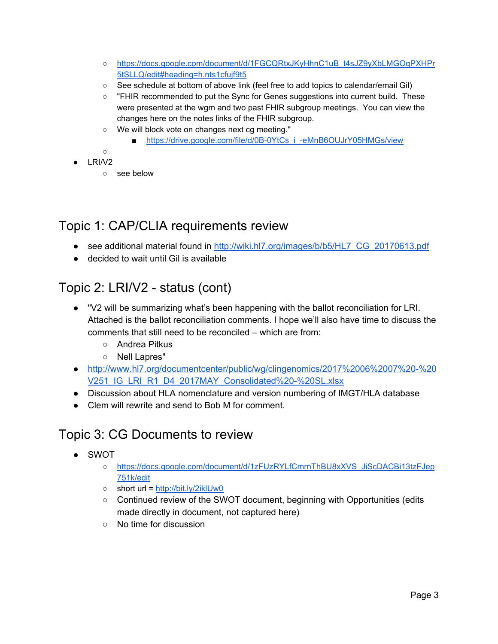- [https://docs.google.com/document/d/1FGCQRtxJKyHhnC1uB\\_t4sJZ9yXbLMGOqPXHPr](https://docs.google.com/document/d/1FGCQRtxJKyHhnC1uB_t4sJZ9yXbLMGOqPXHPr5tSLLQ/edit#heading=h.nts1cfujf9t5) [5tSLLQ/edit#heading=h.nts1cfujf9t5](https://docs.google.com/document/d/1FGCQRtxJKyHhnC1uB_t4sJZ9yXbLMGOqPXHPr5tSLLQ/edit#heading=h.nts1cfujf9t5)
- See schedule at bottom of above link (feel free to add topics to calendar/email Gil)
- "FHIR recommended to put the Sync for Genes suggestions into current build. These were presented at the wgm and two past FHIR subgroup meetings. You can view the changes here on the notes links of the FHIR subgroup.
- We will block vote on changes next cg meeting."
	- [https://drive.google.com/file/d/0B-0YtCs\\_i\\_-eMnB6OUJrY05HMGs/view](https://drive.google.com/file/d/0B-0YtCs_i_-eMnB6OUJrY05HMGs/view)
- $\circ$
- $\bullet$  LRI/V2
	- see below

# <span id="page-2-1"></span>Topic 1: CAP/CLIA requirements review

- see additional material found in [http://wiki.hl7.org/images/b/b5/HL7\\_CG\\_20170613.pdf](http://wiki.hl7.org/images/b/b5/HL7_CG_20170613.pdf)
- decided to wait until Gil is available

# <span id="page-2-2"></span>Topic 2: LRI/V2 - status (cont)

- "V2 will be summarizing what's been happening with the ballot reconciliation for LRI. Attached is the ballot reconciliation comments. I hope we'll also have time to discuss the comments that still need to be reconciled – which are from:
	- Andrea Pitkus
	- Nell Lapres"
- [http://www.hl7.org/documentcenter/public/wg/clingenomics/2017%2006%2007%20-%20](http://www.hl7.org/documentcenter/public/wg/clingenomics/2017%2006%2007%20-%20V251_IG_LRI_R1_D4_2017MAY_Consolidated%20-%20SL.xlsx) [V251\\_IG\\_LRI\\_R1\\_D4\\_2017MAY\\_Consolidated%20-%20SL.xlsx](http://www.hl7.org/documentcenter/public/wg/clingenomics/2017%2006%2007%20-%20V251_IG_LRI_R1_D4_2017MAY_Consolidated%20-%20SL.xlsx)
- Discussion about HLA nomenclature and version numbering of IMGT/HLA database
- Clem will rewrite and send to Bob M for comment.

# <span id="page-2-0"></span>Topic 3: CG Documents to review

- SWOT
	- [https://docs.google.com/document/d/1zFUzRYLfCmrnThBU8xXVS\\_JiScDACBi13tzFJep](https://docs.google.com/document/d/1zFUzRYLfCmrnThBU8xXVS_JiScDACBi13tzFJep751k/edit) [751k/edit](https://docs.google.com/document/d/1zFUzRYLfCmrnThBU8xXVS_JiScDACBi13tzFJep751k/edit)
	- short url = <http://bit.ly/2iklUw0>
	- Continued review of the SWOT document, beginning with Opportunities (edits made directly in document, not captured here)
	- No time for discussion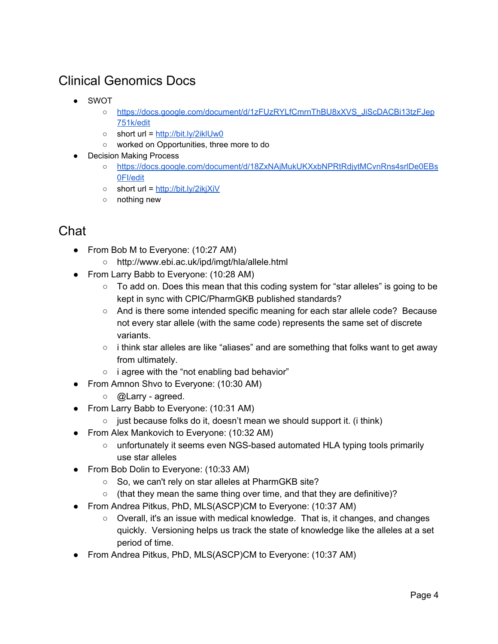# <span id="page-3-0"></span>Clinical Genomics Docs

- SWOT
	- [https://docs.google.com/document/d/1zFUzRYLfCmrnThBU8xXVS\\_JiScDACBi13tzFJep](https://docs.google.com/document/d/1zFUzRYLfCmrnThBU8xXVS_JiScDACBi13tzFJep751k/edit) [751k/edit](https://docs.google.com/document/d/1zFUzRYLfCmrnThBU8xXVS_JiScDACBi13tzFJep751k/edit)
	- short url = <http://bit.ly/2iklUw0>
	- worked on Opportunities, three more to do
	- **Decision Making Process** 
		- [https://docs.google.com/document/d/18ZxNAjMukUKXxbNPRtRdjytMCvnRns4srlDe0EBs](https://docs.google.com/document/d/18ZxNAjMukUKXxbNPRtRdjytMCvnRns4srlDe0EBs0FI/edit) [0FI/edit](https://docs.google.com/document/d/18ZxNAjMukUKXxbNPRtRdjytMCvnRns4srlDe0EBs0FI/edit)
		- short url = <http://bit.ly/2ikjXiV>
		- nothing new

# <span id="page-3-1"></span>Chat

- From Bob M to Everyone: (10:27 AM)
	- http://www.ebi.ac.uk/ipd/imgt/hla/allele.html
- From Larry Babb to Everyone: (10:28 AM)
	- To add on. Does this mean that this coding system for "star alleles" is going to be kept in sync with CPIC/PharmGKB published standards?
	- And is there some intended specific meaning for each star allele code? Because not every star allele (with the same code) represents the same set of discrete variants.
	- $\circ$  i think star alleles are like "aliases" and are something that folks want to get away from ultimately.
	- i agree with the "not enabling bad behavior"
- From Amnon Shvo to Everyone: (10:30 AM)
	- $\circ$  @ Larry agreed.
- From Larry Babb to Everyone: (10:31 AM)
	- $\circ$  just because folks do it, doesn't mean we should support it. (i think)
- From Alex Mankovich to Everyone: (10:32 AM)
	- unfortunately it seems even NGS-based automated HLA typing tools primarily use star alleles
- From Bob Dolin to Everyone: (10:33 AM)
	- So, we can't rely on star alleles at PharmGKB site?
	- (that they mean the same thing over time, and that they are definitive)?
- From Andrea Pitkus, PhD, MLS(ASCP)CM to Everyone: (10:37 AM)
	- Overall, it's an issue with medical knowledge. That is, it changes, and changes quickly. Versioning helps us track the state of knowledge like the alleles at a set period of time.
- From Andrea Pitkus, PhD, MLS(ASCP)CM to Everyone: (10:37 AM)